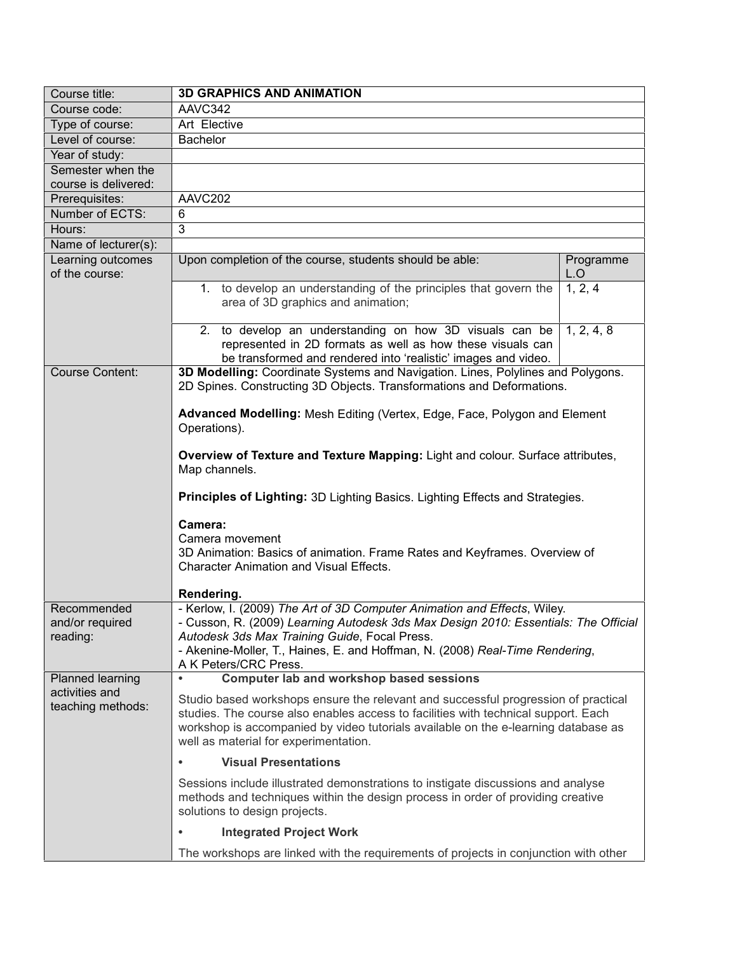| Course title:                       | <b>3D GRAPHICS AND ANIMATION</b>                                                                                                                                                                                                                                                                        |                  |  |
|-------------------------------------|---------------------------------------------------------------------------------------------------------------------------------------------------------------------------------------------------------------------------------------------------------------------------------------------------------|------------------|--|
| Course code:                        | AAVC342                                                                                                                                                                                                                                                                                                 |                  |  |
| Type of course:                     | Art Elective                                                                                                                                                                                                                                                                                            |                  |  |
| Level of course:                    | <b>Bachelor</b>                                                                                                                                                                                                                                                                                         |                  |  |
| Year of study:                      |                                                                                                                                                                                                                                                                                                         |                  |  |
| Semester when the                   |                                                                                                                                                                                                                                                                                                         |                  |  |
| course is delivered:                |                                                                                                                                                                                                                                                                                                         |                  |  |
| Prerequisites:                      | AAVC202                                                                                                                                                                                                                                                                                                 |                  |  |
| Number of ECTS:                     | 6                                                                                                                                                                                                                                                                                                       |                  |  |
| Hours:                              | $\overline{3}$                                                                                                                                                                                                                                                                                          |                  |  |
| Name of lecturer(s):                |                                                                                                                                                                                                                                                                                                         |                  |  |
| Learning outcomes<br>of the course: | Upon completion of the course, students should be able:                                                                                                                                                                                                                                                 | Programme<br>L.O |  |
|                                     | 1. to develop an understanding of the principles that govern the<br>area of 3D graphics and animation;                                                                                                                                                                                                  | 1, 2, 4          |  |
|                                     | 2. to develop an understanding on how 3D visuals can be<br>represented in 2D formats as well as how these visuals can<br>be transformed and rendered into 'realistic' images and video.                                                                                                                 | 1, 2, 4, 8       |  |
| <b>Course Content:</b>              | 3D Modelling: Coordinate Systems and Navigation. Lines, Polylines and Polygons.<br>2D Spines. Constructing 3D Objects. Transformations and Deformations.                                                                                                                                                |                  |  |
|                                     | Advanced Modelling: Mesh Editing (Vertex, Edge, Face, Polygon and Element<br>Operations).                                                                                                                                                                                                               |                  |  |
|                                     | Overview of Texture and Texture Mapping: Light and colour. Surface attributes,<br>Map channels.                                                                                                                                                                                                         |                  |  |
|                                     | Principles of Lighting: 3D Lighting Basics. Lighting Effects and Strategies.                                                                                                                                                                                                                            |                  |  |
|                                     | Camera:                                                                                                                                                                                                                                                                                                 |                  |  |
|                                     | Camera movement                                                                                                                                                                                                                                                                                         |                  |  |
|                                     | 3D Animation: Basics of animation. Frame Rates and Keyframes. Overview of<br><b>Character Animation and Visual Effects.</b>                                                                                                                                                                             |                  |  |
|                                     |                                                                                                                                                                                                                                                                                                         |                  |  |
| Recommended                         | Rendering.<br>- Kerlow, I. (2009) The Art of 3D Computer Animation and Effects, Wiley.                                                                                                                                                                                                                  |                  |  |
| and/or required                     | - Cusson, R. (2009) Learning Autodesk 3ds Max Design 2010: Essentials: The Official                                                                                                                                                                                                                     |                  |  |
| reading:                            | Autodesk 3ds Max Training Guide, Focal Press.                                                                                                                                                                                                                                                           |                  |  |
|                                     | - Akenine-Moller, T., Haines, E. and Hoffman, N. (2008) Real-Time Rendering,                                                                                                                                                                                                                            |                  |  |
|                                     | A K Peters/CRC Press.                                                                                                                                                                                                                                                                                   |                  |  |
| <b>Planned learning</b>             | <b>Computer lab and workshop based sessions</b>                                                                                                                                                                                                                                                         |                  |  |
| activities and<br>teaching methods: | Studio based workshops ensure the relevant and successful progression of practical<br>studies. The course also enables access to facilities with technical support. Each<br>workshop is accompanied by video tutorials available on the e-learning database as<br>well as material for experimentation. |                  |  |
|                                     | <b>Visual Presentations</b><br>$\bullet$                                                                                                                                                                                                                                                                |                  |  |
|                                     | Sessions include illustrated demonstrations to instigate discussions and analyse<br>methods and techniques within the design process in order of providing creative<br>solutions to design projects.                                                                                                    |                  |  |
|                                     | <b>Integrated Project Work</b>                                                                                                                                                                                                                                                                          |                  |  |
|                                     | The workshops are linked with the requirements of projects in conjunction with other                                                                                                                                                                                                                    |                  |  |